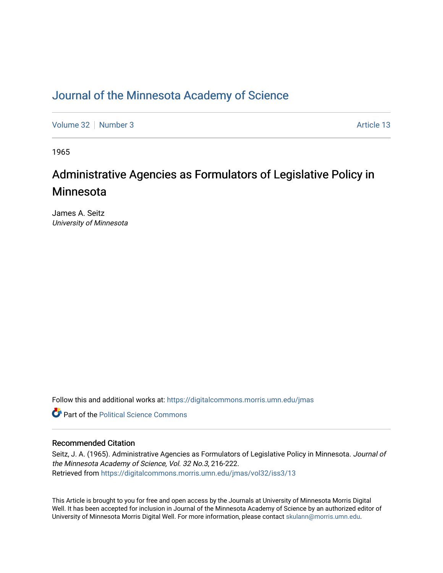## [Journal of the Minnesota Academy of Science](https://digitalcommons.morris.umn.edu/jmas)

[Volume 32](https://digitalcommons.morris.umn.edu/jmas/vol32) [Number 3](https://digitalcommons.morris.umn.edu/jmas/vol32/iss3) Article 13

1965

# Administrative Agencies as Formulators of Legislative Policy in Minnesota

James A. Seitz University of Minnesota

Follow this and additional works at: [https://digitalcommons.morris.umn.edu/jmas](https://digitalcommons.morris.umn.edu/jmas?utm_source=digitalcommons.morris.umn.edu%2Fjmas%2Fvol32%2Fiss3%2F13&utm_medium=PDF&utm_campaign=PDFCoverPages) 

**C** Part of the Political Science Commons

## Recommended Citation

Seitz, J. A. (1965). Administrative Agencies as Formulators of Legislative Policy in Minnesota. Journal of the Minnesota Academy of Science, Vol. 32 No.3, 216-222. Retrieved from [https://digitalcommons.morris.umn.edu/jmas/vol32/iss3/13](https://digitalcommons.morris.umn.edu/jmas/vol32/iss3/13?utm_source=digitalcommons.morris.umn.edu%2Fjmas%2Fvol32%2Fiss3%2F13&utm_medium=PDF&utm_campaign=PDFCoverPages) 

This Article is brought to you for free and open access by the Journals at University of Minnesota Morris Digital Well. It has been accepted for inclusion in Journal of the Minnesota Academy of Science by an authorized editor of University of Minnesota Morris Digital Well. For more information, please contact [skulann@morris.umn.edu](mailto:skulann@morris.umn.edu).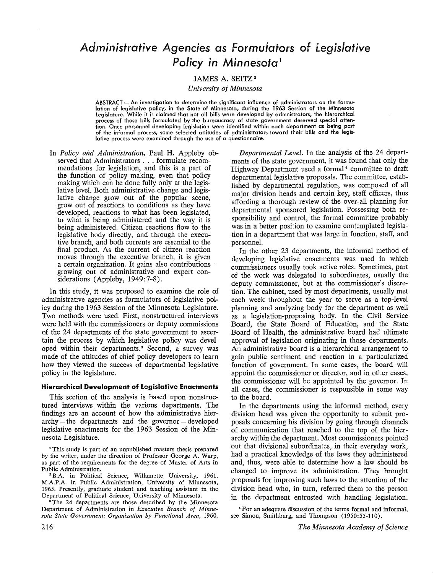## *Administrative Agencies as Formulators* **of** *legislative Policy in Minnesota* <sup>1</sup>

### JAMES A. SEITZ<sup>2</sup>

*University of Minnesota* 

ABSTRACT - An investigation to determine the significant influence of administrators on the formulation of legislative policy, in the State of Minnesota, during the 1963 Session of the Minnesota Legislature. While it is claimed that not all bills were developed by admnistrators, the hierarchical process of those bills formulated by the bureaucracy of state government deserved special attention. Once personnel developing legislation were identified within each department as being part of the informal process, some selected attitudes of administrators toward their bills and the legislative process were examined through the use of a questionnaire.

In *Policy and Administration,* Paul H. Appleby observed that Administrators ... formulate recommendations for legislation, and this is a part of the function of policy making, even that policy making which can be done fully only at the legislative level. Both administrative change and legislative change grow out of the popular scene, grow out of reactions to conditions as they have developed, reactions to what has been legislated, to what is being administered and the way it is being administered. Citizen reactions flow to the legislative body directly, and through the executive branch, and both currents are essential to the final product. As the current of citizen reaction moves through the executive branch, it is given a certain organization. It gains also contributions growing out of administrative and expert considerations (Appleby, 1949:7-8).

In this study, it was proposed to examine the role of administrative agencies as formulators of legislative policy during the 1963 Session of the Minnesota Legislature. Two methods were used. First, nonstructured interviews were held with the commissioners or deputy commissions of the 24 departments of the state government to ascertain the process by which legislative policy was developed within their departments.<sup>3</sup> Second, a survey was made of the attitudes of chief policy developers to learn how they viewed the success of departmental legislative policy in the legislature.

#### **Hierarchical Development of Legislative Enactments**

This section of the analysis is based upon nonstructured interviews within the various departments. The findings are an account of how the administrative hierarchy - the departments and the governor - developed legislative enactments for the 1963 Session of the Minnesota Legislature.

<sup>1</sup> This study is part of an unpublished masters thesis prepared by the writer, under the direction of Professor George A. Warp, as part of the requirements for the degree of Master of Arts in Public Administration.

• B.A. in Political Science, Willamette University, 1961. **M.A.P.A.** in Public Administration, University of Minnesota, 1965. Presently, graduate student and teaching assistant in the Department of Political Science, University of Minnesota.

<sup>3</sup>The 24 departments are those described by the Minnesota Department of Administration in *Executive Branch of Minnesota Stale Government: Organization by Functional Area,* 1960.

*Departmental Level.* In the analysis of the 24 departments of the state government, it was found that only the Highway Department used a formal<sup>4</sup> committee to draft departmental legislative proposals. The committee, established by departmental regulation, was composed of all major division heads and certain key, staff officers, thus affording a thorough review of the over-all planning for departmental sponsored legislation. Possessing both responsibility and control, the formal committee probably was in a better position to examine contemplated legislation in a department that was large in function, staff, and personnel.

In the other 23 departments, the informal method of developing legislative enactments was used in which commissioners usually took active roles. Sometimes, part of the work was delegated to subordinates, usually the deputy commissioner, but at the commissioner's discretion. The cabinet, used by most departments, usually met each week throughout the year to serve as a top-level planning and analyzing body for the department as well as a legislation-proposing body. In the Civil Service Board, the State Board of Education, and the State Board of Health, the administrative board had ultimate approval of legislation originating in those departments. An administrative board is a hierarchical arrangement to gain public sentiment and reaction in a particularized function of government. In some cases, the board will appoint the commissioner or director, and in other cases, the commissioner will be appointed by the governor. In all cases, the commissioner is responsible in some way to the board.

In the departments using the informal method, every division head was given the opportunity to submit proposals concerning his division by going through channels of communication that reached to the top of the hierarchy within the department. Most commissioners pointed out that divisional subordinates, in their everyday work, had a practical knowledge of the laws they administered and, thus, were able to determine how a law should be changed to improve its administration. They brought proposals for improving such laws to the attention of the division head who, in turn, referred them to the person in the department entrusted with handling legislation.

<sup>•</sup> For an adequate discussion of the terms formal and informal, see Simon, Smithburg, and Thompson (1950:55-110).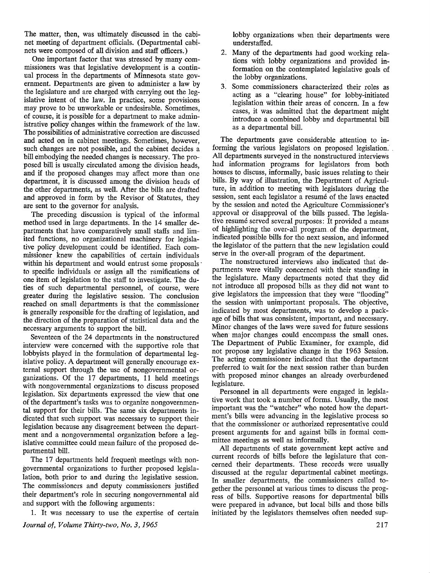The matter, then, was ultimately discussed in the cabinet meeting of department officials. (Departmental cabinets were composed of all division and staff officers.)

One important factor that was stressed by many commissioners was that legislative development is a continual process in the departments of Minnesota state government. Departments are given to administer a law by the legislature and are charged with carrying out the legislative intent of the law. In practice, some provisions may prove to be unworkable or undesirable. Sometimes, of course, it is possible for a department to make administrative policy changes within the framework of the law. The possibilities of administrative correction are discussed and acted on in cabinet meetings. Sometimes, however, such changes are not possible, and the cabinet decides a bill embodying the needed changes is necessary. The proposed bill is usually circulated among the division heads, and if the proposed changes may affect more than one department, it is discussed among the division heads of the other departments, as well. After the bills are drafted and approved in form by the Revisor of Statutes, they are sent to the governor for analysis.

The preceding discussion is typical of the informal method used in large departments. In the 14 smaller departments that have comparatively small staffs and limited functions, no organizational machinery for legislative policy. development could be identified. Each commissioner knew the capabilities of certain individuals within his department and would entrust some proposals to specific individuals or assign all the ramifications of one item of legislation to the staff to investigate. The duties of such departmental personnel, of course, were greater during the legislative session. The conclusion reached on small departments is that the commissioner is generally responsible for the drafting of legislation, and the direction of the preparation of statistical data and the necessary arguments to support the bill.

Seventeen of the 24 departments in the nonstructured interview were concerned with the supportive role that lobbyists played in the formulation of departmental legislative policy. A department will generally encourage external support through the use of nongovernmental organizations. Of the 17 departments, 11 held meetings with nongovernmental organizations to discuss proposed legislation. Six departments expressed the view that one of the department's tasks was to organize nongovernmental support for their bills. The same six departments indicated that such support was necessary to support their legislation because any disagreement between the department and a nongovernmental organization before a legislative committee could mean failure of the proposed departmental bill.

The 17 departments held frequent meetings with nongovernmental organizations to further proposed legislalation, both prior to and during the legislative session. The commissioners and deputy commissioners justified their department's role in securing nongovernmental aid and support with the following arguments:

1. It was necessary to use the expertise of certain

*Journal of, Volume Thirty-two, No. 3, 1965* 

lobby organizations when their departments were understaffed.

- 2. Many of the departments had good working relations with lobby organizations and provided information on the contemplated legislative goals of the lobby organizations.
- 3. Some commissioners characterized their roles as acting as a "clearing house" for lobby-initiated legislation within their areas of concern. In a few cases, it was admitted that the department might introduce a combined lobby and departmental bill as a departmental bill.

The departments gave considerable attention to informing the various legislators on proposed legislation. . All departments surveyed in the nonstructured interviews had information programs for legislators from both houses to discuss, informally, basic issues relating to their bills. By way of illustration, the Department of Agriculture, in addition to meeting with legislators during the session, sent each legislator a resume of the laws enacted by the session and noted the Agriculture Commissioner's approval or disapproval of the bills passed. The legislative resumé served several purposes: It provided a means of highlighting the over-all program. of the. department, indicated possible bills for the next session, and informed the legislator of the pattern that the new legislation could serve in the over-all program of the department.

The nonstructured interviews also indicated that departments were vitally concerned with their standing in the legislature. Many departments noted that they did not introduce all proposed bills as they did not want to give legislators the impression that they were "flooding" the session with unimportant proposals. The objective, indicated by most departments, was to develop a package of bills that was consistent, important, and necessary. Minor changes of the laws were saved for future sessions when major changes could encompass the small ones. The Department of Public Examiner, for example, did not propose any legislative change in the 1963 Session. The acting commissioner indicated that the department preferred fo wait for the next session rather than burden with proposed minor changes an already overburdened legislature.

Personnel in all departments were engaged in legislative work that took a number of forms. Usually, the most important was the "watcher" who noted how the department's bills were advancing in the legislative process so that the commissioner or authorized representative could present arguments for and against bills in formal committee meetings as well as informally.

All departments of state government kept active and current records of bills before the legislature that concerned their departments. These records were usually discussed at the regular departmental cabinet meetings. In smaller departments, the commissioners called together the personnel at various times to discuss the progress of bills. Supportive reasons for departmental bills were prepared in advance, but local bills and those bills initiated by the legislators themselves often needed sup-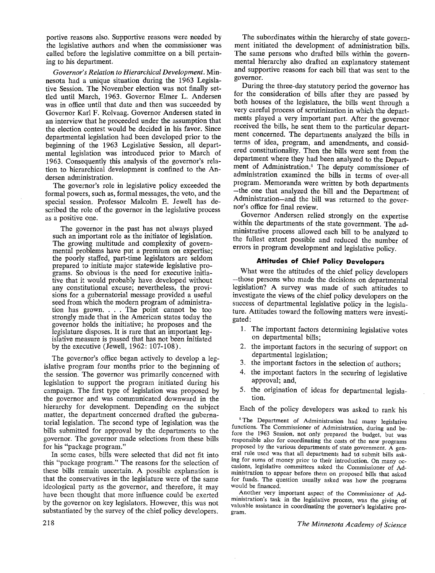portive reasons also. Supportive reasons were needed by the legislative authors and when the commissioner was called before the legislative committee on a bill pertaining to his department.

*Governor's Relation to Hierarchical Development.* **Min**nesota had a unique situation during the 1963 Legislative Session. The November election was not finally settled until March, 1963. Governor Elmer L. Andersen was in office until that date and then was succeeded by Governor Karl F. Rolvaag. Governor Andersen stated in an interview that he proceeded under the assumption that the election contest would be decided in his favor. Since departmental legislation had been developed prior to the beginning of the 1963 Legislative Session, all departmental legislation was introduced prior to March of 1963. Consequently this analysis of the governor's relation to hierarchical development is confined to the Andersen administration.

The governor's role in legislative policy exceeded the formal powers, such as, formal messages, the veto, and the special session. Professor Malcolm E. Jewell has described the role of the governor in the legislative process as a positive one.

The governor in the past has not always played such an important role as the initiator of legislation. The growing multitude and complexity of governmental problems have put a premium on expertise; the poorly staffed, part-time legislators are seldom prepared to initiate major statewide legislative programs. So obvious is the need for executive initiative that it would probably have developed without any constitutional excuse; nevertheless, the provisions for a gubernatorial message provided a useful seed from which the modern program of administration has grown. . . . The point cannot be too strongly made that in the American states today the governor holds the initiative; he proposes and the legislature disposes. It is rare that an important legislative measure is passed that has not been initiated by the executive (Jewell, 1962: 107-108) .

The governor's office began actively to develop a legislative program four months prior to the beginning of the session. The governor was primarily concerned with legislation to support the program initiated during his campaign. The first type of legislation was proposed by the governor and was communicated downward in the hierarchy for development. Depending on the subject matter, the department concerned drafted the gubernatorial legislation. The second type of legislation, was the bills submitted for approval by the departments to the governor. The governor made selections from these bills for his "package program."

In some cases, bills were selected that did not fit into this "package program." The reasons for the selection of these bills remain uncertain. A possible explanation is that the conservatives in the legislature were of the same ideological party as the governor, and therefore, it may have been thought that more influence could be exerted by the governor on key legislators. However, this was not substantiated by the survey of the chief policy developers.

The subordinates within the hierarchy of state government initiated the development of administration bills. The same persons who drafted bills within the governmental hierarchy also drafted an explanatory statement and supportive reasons for each bill that was sent to the governor.

During the three-day statutory period the governor has for the consideration of bills after they are passed by both houses of the legislature, the bills went through a very careful process of scrutinization in which the departments played a very important part. After the governor received the bills, he sent them to the particular department concerned. The departments analyzed the bills in terms of idea, program, and amendments, and considered constitutionality. Then the bills were sent from the department where they had been analyzed to the Department of Administration.<sup>5</sup> The deputy commissioner of administration examined the bills in terms of over-all program. Memoranda were written by both departments -the one that analyzed the bill and the Department of Administration-and the bill was returned to the governor's office for final review.

Governor Andersen relied strongly on the expertise within the departments of the state government. The administrative process allowed each bill to be analyzed to the fullest extent possible and reduced the number of errors in program development and legislative policy.

### **Attitudes of Chief Policy Developers**

What were the attitudes of the chief policy developers -those persons who made the decisions on departmental legislation? A survey was made of such attitudes to investigate the views of the chief policy developers on the success of departmental legislative policy in the legislature. Attitudes toward the following matters were investigated:

- 1. The important factors determining legislative votes on departmental bills;
- 2. the important factors in the securing of support on departmental legislation;
- 
- 3. the important factors in the selection of authors;<br>4. the important factors in the securing of legislative approval; and,
- 5. the origination of ideas for departmental legislation.

Each of the policy developers was asked to rank his

<sup>5</sup>The Department of Administration had many legislative functions. The Commissioner of Administration, during and before the 1963 Session, not only prepared the budget, but was responsible also for coordinating the costs of the new programs proposed by the various departments of state government. A gen eral rule used was that all departments had to submit bills asking for sums of money prior to their introduction. On many occasions, legislative committees asked the Commissioner of Administration to appear before them on proposed bills that asked for funds. The question usually asked was how the programs would be financed.

Another very important aspect of the Commissioner of Administration's task in the legislative process, was the giving of valuable assistance in coordinating the governor's legislative program.

*The Minnesota Academy of Science*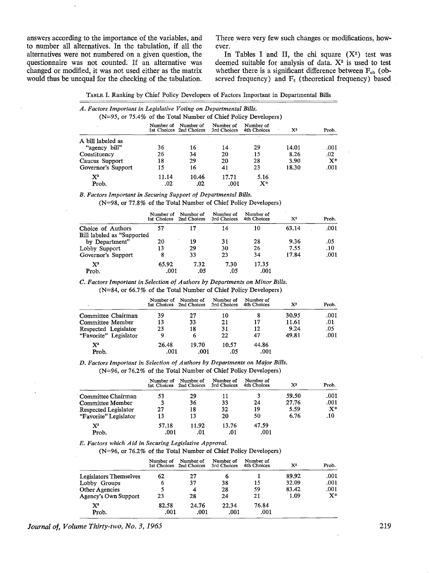answers according to the importance of the variables, and to number all alternatives. In the tabulation, if all the alternatives were not numbered on a given question, the questionnaire was not counted. If an alternative was changed or modified, it was not used either as the matrix would thus be unequal for the checking of the tabulation. There were very few such changes or modifications, however.

In Tables I and II, the chi square  $(X^2)$  test was deemed suitable for analysis of data.  $X^2$  is used to test whether there is a significant difference between  $F_{\text{ob}}$  (observed frequency) and  $F_t$  (theoretical frequency) based

| TABLE I. Ranking by Chief Policy Developers of Factors Important in Departmental Bills |  |  |  |
|----------------------------------------------------------------------------------------|--|--|--|
|----------------------------------------------------------------------------------------|--|--|--|

| A. Factors Important in Legislative Voting on Departmental Bills.<br>$(N=95, \text{ or } 75.4\% \text{ of the Total Number of Chief Policy Developers})$ |           |                                      |                          |                          |                |                |
|----------------------------------------------------------------------------------------------------------------------------------------------------------|-----------|--------------------------------------|--------------------------|--------------------------|----------------|----------------|
|                                                                                                                                                          | Number of | Number of<br>1st Choices 2nd Choices | Number of<br>3rd Choices | Number of<br>4th Choices | $\mathbf{X}^2$ | Prob.          |
| A bill labeled as                                                                                                                                        |           |                                      |                          |                          |                |                |
| "agency bill"                                                                                                                                            | 36        | 16                                   | 14                       | 29                       | 14.01          | .001           |
| Constituency                                                                                                                                             | 26        | 34                                   | 20                       | 15                       | 8.26           | .02            |
| Caucus Support                                                                                                                                           | 18        | 29                                   | 20                       | 28                       | 3.90           | $\mathbf{X}^*$ |
| Governor's Support                                                                                                                                       | 15        | 16                                   | 41                       | 23                       | 18.30          | .001           |
| $\mathbf{X}^{\mathbf{z}}$                                                                                                                                | 11.14     | 10.46                                | 17.71                    | 5.16                     |                |                |
| Prob.                                                                                                                                                    | .02       | .02                                  | .001                     | $\mathbf{X}^*$           |                |                |

*B. Factors Important in Securing Support of Departmental Bills.* 

(N=98, or 77.8% of the Total Number of Chief Policy Developers)

|                             | Number of<br>1st Choices | Number of<br>2nd Choices | Number of<br>3rd Choices | Number of<br>4th Choices | $X^2$ | Prob. |
|-----------------------------|--------------------------|--------------------------|--------------------------|--------------------------|-------|-------|
| Choice of Authors           |                          | 17                       | 14                       | 10                       | 63.14 | .001  |
| Bill labeled as "Supported" |                          |                          |                          |                          |       |       |
| by Department"              | 20                       | 19                       | 31                       | 28                       | 9.36  | .05   |
| Lobby Support               | 13                       | 29                       | 30                       | 26                       | 7.55  | .10   |
| Governor's Support          | 8                        | 33                       | 23                       | 34                       | 17.84 | .001  |
| $\mathbf{X}^2$              | 65.92                    | 7.32                     | 7.30                     | 17.35                    |       |       |
| Prob.                       | .001                     | :05                      | .05                      | .001                     |       |       |

*C. Factors Important in Selection of Authors by Departments on Minor Bills.* 

(N=84, or 66.7% of the Total Number of Chief Policy Developers)

|                                    | Number of<br>1st Choices 2nd Choices | Number of     | Number of<br>3rd Choices | Number of<br>4th Choices | $X^2$ | Prob. |
|------------------------------------|--------------------------------------|---------------|--------------------------|--------------------------|-------|-------|
| Committee Chairman                 | 39                                   | 27            | 10                       |                          | 30.95 | .001  |
| Committee Member                   | 13                                   | 33            | 21                       | 17                       | 11.61 | .01   |
| Respected Legislator               | 23                                   | 18            | 31                       | 12                       | 9.24  | .05   |
| "Favorite" Legislator              | 9                                    | 6             | 22                       | 47                       | 49.81 | .001  |
| $\mathbf{X}^{\mathbf{2}}$<br>Prob. | 26.48<br>.001                        | 19.70<br>.001 | 10.57<br>.05             | 44.86<br>.001            |       |       |

*D. Factors Important in Selection of Authors by Departments on Major Bills.*  (N=96, or 76.2% of the Total Number of Chief Policy Developers)

|                       | Number of<br>1st Choices | Number of<br>2nd Choices | Number of<br>3rd Choices | Number of<br>4th Choices | $\mathbf{X}^2$ | Prob. |
|-----------------------|--------------------------|--------------------------|--------------------------|--------------------------|----------------|-------|
| Committee Chairman    | 53                       | 29                       | 11                       |                          | 59.50          | .001  |
| Committee Member      | 3                        | 36                       | 33                       | 24                       | 27.76          | .001  |
| Respected Legislator  | 27                       | 18                       | 32                       | 19                       | 5.59           | $X^*$ |
| "Favorite" Legislator | 13                       | 13                       | 20                       | 50                       | 6.76           | .10   |
| $\mathbf{X}^2$        | 57.18                    | 11.92                    | 13.76                    | 47.59                    |                |       |
| Prob.                 | .001                     | .01                      | .01                      | .001                     |                |       |

*E. Factors which Aid in Securing Legislative Approval.* 

(N=96, or 76.2% of the Total Number of Chief Policy Developers)

|                                    | Number of     | Number of<br>1st Choices 2nd Choices | Number of<br>3rd Choices | Number of<br>4th Choices | $\mathbf{X}^2$ | Prob. |
|------------------------------------|---------------|--------------------------------------|--------------------------|--------------------------|----------------|-------|
| Legislators Themselves             | 62            | 27                                   | h                        |                          | 89.92          | .001  |
| Lobby Groups                       | 6             | 37                                   | 38                       | 15                       | 32.09          | .001  |
| Other Agencies                     |               | 4                                    | 28                       | 59                       | 83.42          | .001  |
| Agency's Own Support               | 23            | 28                                   | 24                       | 21                       | 1.09           | $X^*$ |
| $\mathbf{X}^{\mathbf{a}}$<br>Prob. | 82.58<br>.001 | 24.76<br>.001                        | 22.34<br>.001            | 76.84<br>.001            |                |       |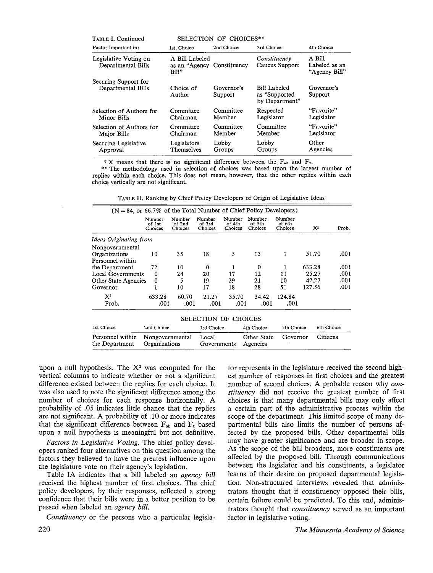| SELECTION OF CHOICES**<br>TABLE I. Continued |                                                       |                       |                                                  |                                          |  |
|----------------------------------------------|-------------------------------------------------------|-----------------------|--------------------------------------------------|------------------------------------------|--|
| Factor Important in:                         | 1st. Choice                                           | 2nd Choice            | 3rd Choice                                       | 4th Choice                               |  |
| Legislative Voting on<br>Departmental Bills  | A Bill Labeled<br>as an "Agency Constituency<br>Bill" |                       | Constituency<br>Caucus Support                   | A Bill<br>Labeled as an<br>"Agency Bill" |  |
| Securing Support for<br>Departmental Bills   | Choice of<br>Author                                   | Governor's<br>Support | Bill Labeled<br>as "Supported"<br>by Department" | Governor's<br>Support                    |  |
| Selection of Authors for<br>Minor Bills      | Committee<br>Chairman                                 | Committee<br>Member   | Respected<br>Legislator                          | "Favorite"<br>Legislator                 |  |
| Selection of Authors for<br>Major Bills      | Committee<br>Chairman                                 | Committee<br>Member   | Committee<br>Member                              | "Favorite"<br>Legislator                 |  |
| Securing Legislative<br>Approval             | Legislators<br>Themselves                             | Lobby<br>Groups       | Lobby<br>Groups                                  | Other<br>Agencies                        |  |

\* X means that there is no significant difference between the  $F_{ob}$  and  $F_t$ .

\*\* The methodology used in selection of choices was based upon the largest number of replies within each choice. This does not mean, however, that the other replies within each choice vertically are not significant.

TABLE II. Ranking by Chief Policy Developers of Origin of Legislative Ideas

| $(N = 84$ , or 66.7% of the Total Number of Chief Policy Developers) |                                  |                             |                             |                             |                             |                             |        |            |
|----------------------------------------------------------------------|----------------------------------|-----------------------------|-----------------------------|-----------------------------|-----------------------------|-----------------------------|--------|------------|
|                                                                      | Number<br>of 1st<br>Choices      | Number<br>of 2nd<br>Choices | Number<br>of 3rd<br>Choices | Number<br>of 4th<br>Choices | Number<br>of 5th<br>Choices | Number<br>of 6th<br>Choices | $X^2$  | Prob.      |
| Ideas Originating from                                               |                                  |                             |                             |                             |                             |                             |        |            |
| Nongovernmental                                                      |                                  |                             |                             |                             |                             |                             |        |            |
| Organizations                                                        | 10                               | 35                          | 18                          | 5                           | 15                          | 1                           | 51.70  | .001       |
| Personnel within                                                     |                                  |                             |                             |                             |                             |                             |        |            |
| the Department                                                       | 72                               | 10                          | $\Omega$                    | 1                           | 0                           | 1                           | 633.28 | .001       |
| <b>Local Governments</b>                                             | $\Omega$                         | 24                          | 20                          | 17                          | 12                          | 11                          | 25.27  | .001       |
| Other State Agencies                                                 | 0                                | 5                           | 19                          | 29                          | 21                          | 10                          | 42.27  | .001       |
| Governor                                                             | $\mathbf{1}$                     | 10                          | 17                          | 18                          | 28                          | 51                          | 127.56 | .001       |
| $X^2$                                                                | 633.28                           | 60.70                       | 21.27                       | 35.70                       | 34.42                       | 124.84                      |        |            |
| Prob.                                                                | .001                             | .001                        | .001                        | .001                        | .001                        | .001                        |        |            |
|                                                                      |                                  |                             | SELECTION OF CHOICES        |                             |                             |                             |        |            |
| 1st Choice                                                           | 2nd Choice                       |                             | 3rd Choice                  |                             | 4th Choice                  | 5th Choice                  |        | 6th Choice |
| Personnel within<br>the Department                                   | Nongovernmental<br>Organizations |                             | Local<br>Governments        |                             | Other State<br>Agencies     | Governor                    |        | Citizens   |

upon a null hypothesis. The  $X^2$  was computed for the vertical columns to indicate whether or not a significant difference existed between the replies for each choice. It was also used to note the significant difference among the number of choices for each response horizontally. A probability of .05 indicates little chance that the replies are not significant. A probability of .10 or more indicates that the significant difference between  $F_{ob}$  and  $F_t$  based upon a null hypothesis is meaningful but not definitive.

*Factors in Legislative Voting.* The chief policy developers ranked four alternatives on this question among the factors they believed to have the greatest influence upon the legislature vote on their agency's legislation.

Table IA indicates that a bill labeled an *agency bill*  received the highest number of first choices. The chief policy developers, by their responses, reflected a strong confidence that their bills were in a better position to be passed when labeled an *agency bill.* 

*Constituency* or the persons who a particular legisla-

tor represents in the legislature received the second highest number of responses in first choices and the greatest number of second choices. A probable reason why *constituency* did not receive the greatest number of first choices is that many departmental bills may only affect a certain part of the administrative process within the scope of the department. This limited scope of many departmental bills also limits the number of persons affected by the proposed bills. Other departmental bills may have greater significance and are broader in scope. As the scope of the bill broadens, more constituents are affected by the proposed bill. Through communications between the legislator and his constituents, a legislator learns of their desire on proposed departmental legislation. Non-structured interviews revealed that administrators thought that if constituency opposed their bills, certain failure could be predicted. To this end, administrators thought that *constituency* served as an important factor in legislative voting.

220 *The Minnesota Academy of Science*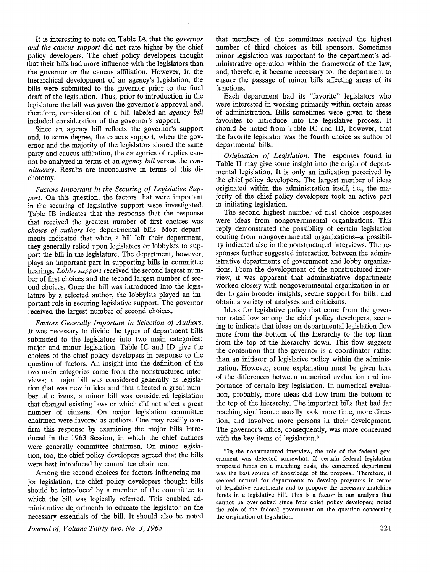It is interesting to note on Table IA that the *governor and the caucus support* did not rate higher by the chief policy developers. The chief policy developers thought that their bills had more influence with the legislators than the governor or the caucus affiliation. However, in the hierarchical development of an agency's legislation, the bills were submitted to the governor prior to the final draft of the legislation. Thus, prior to introduction in the legislature the bill was given the governor's approval and, therefore, consideration of a bill labeled an *agency bill*  included consideration of the governor's support.

Since an agency bill reflects the governor's support and, to some degree, the caucus support, when the governor and the majority of the legislators shared the same party and caucus affiliation, the categories of replies cannot be analyzed in terms of an *agency bill* versus the *constituency.* Results are inconclusive in terms of this dichotomy.

*Factors Important in the Securing of Legislative Support.* On this question, the factors that were important in the securing of legislative support were investigated. Table 1B indicates that the response that the response that received the greatest number of first choices was *choice of authors* for departmental bills. Most departments indicated that when a bill left their department, they generally relied upon legislators or lobbyists to support the bill in the legislature. The department, however, plays an important part in supporting bills in committee hearings. *Lobby support* received the second largest number of first choices and the second largest number of second choices. Once the bill was introduced into the legislature by a selected author, the lobbyists played an important role in securing legislative support. The governor received the largest number of second choices.

*Factors Generally Important in Selection of Authors.*  It was necessary to divide the types of department bills submitted to the legislature into two main categories: major and minor legislation. Table IC and ID give the choices of the chief policy developers in response to the question of factors. An insight into the definition of the two main categories came from the nonstructured interviews: a major bill was considered generally as legislation that was new in idea and that affected a great number of citizens; a minor bill was considered legislation that changed existing laws or which did not affect a great number of citizens. **On** major legislation committee chairmen were favored as authors. One may readily confirm this response by examining the major bills introduced in the 1963 Session, in which the chief authors were generally committee chairmen. On minor legislation, too, the chief policy developers agreed that the bills were best introduced by committee chairmen.

Among the second choices for factors influencing major legislation, the chief policy developers thought bills should be introduced by a member of the committee to which the bill was logically referred. This enabled administrative departments to educate the legislator on the necessary essentials of the bill. It should also be noted that members of the committees received the highest number of third choices as bill sponsors. Sometimes minor legislation was important to the department's administrative operation within the framework of the law, and, therefore, it became necessary for the department to ensure the passage of minor bills affecting areas of its functions.

Each department had its "favorite" legislators who were interested in working primarily within certain areas of administration. Bills sometimes were given to these favorites to introduce into the legislative process. It should be noted from Table IC and ID, however, that the favorite legislator was the fourth choice as author of departmental bills.

*Origination of Legislation.* The responses found in Table II may give some insight into the origin of departmental legislation. It is only an indication perceived by the chief policy developers. The largest number of ideas originated within the administration itself, i.e., the majority of the chief policy developers took an active part in initiating legislation.

The second highest number of first choice responses were ideas from nongovernmental organizations. This reply demonstrated the possibility of certain legislation coming from nongovernmental organizations-a possibility indicated also in the nonstructured interviews. The responses further suggested interaction between the administrative departments of government and lobby organizations. From the development of the nonstructured interview, it was apparent that administrative departments worked closely with nongovernmental organization in order to gain broader insights, secure support for bills, and obtain a variety of analyses and criticisms.

Ideas for legislative policy that come from the governor rated low among the chief policy developers, seeming to indicate that ideas on departmental legislation flow more from the bottom of the hierarchy to the top than from the top of the hierarchy down. This flow suggests the contention that the governor is a coordinator rather than an initiator of legislative policy within the administration. However, some explanation must be given here of the differences between numerical evaluation and importance of certain key legislation. In numerical evaluation, probably, more ideas did flow from the bottom to the top of the hierarchy. The important bills that had far reaching significance usually took more time, more direction, and involved more persons in their development. The governor's office, consequently, was more concerned with the key items of legislation.<sup>6</sup>

<sup>6</sup> In the nonstructured interview, the role of the federal government was detected somewhat. If certain federal legislation proposed funds on a matching basis, the concerned department was the best source of knowledge of the proposal. Therefore, it seemed natural for departments to develop programs in terms of legislative enactments and to propose the necessary matching funds in a legislative bill. This is a factor in our analysis that cannot be overlooked since four chief policy developers noted the role of the federal government on the question concerning the origination of legislation.

*Journal of, Volume Thirty-two, No. 3, 1965*